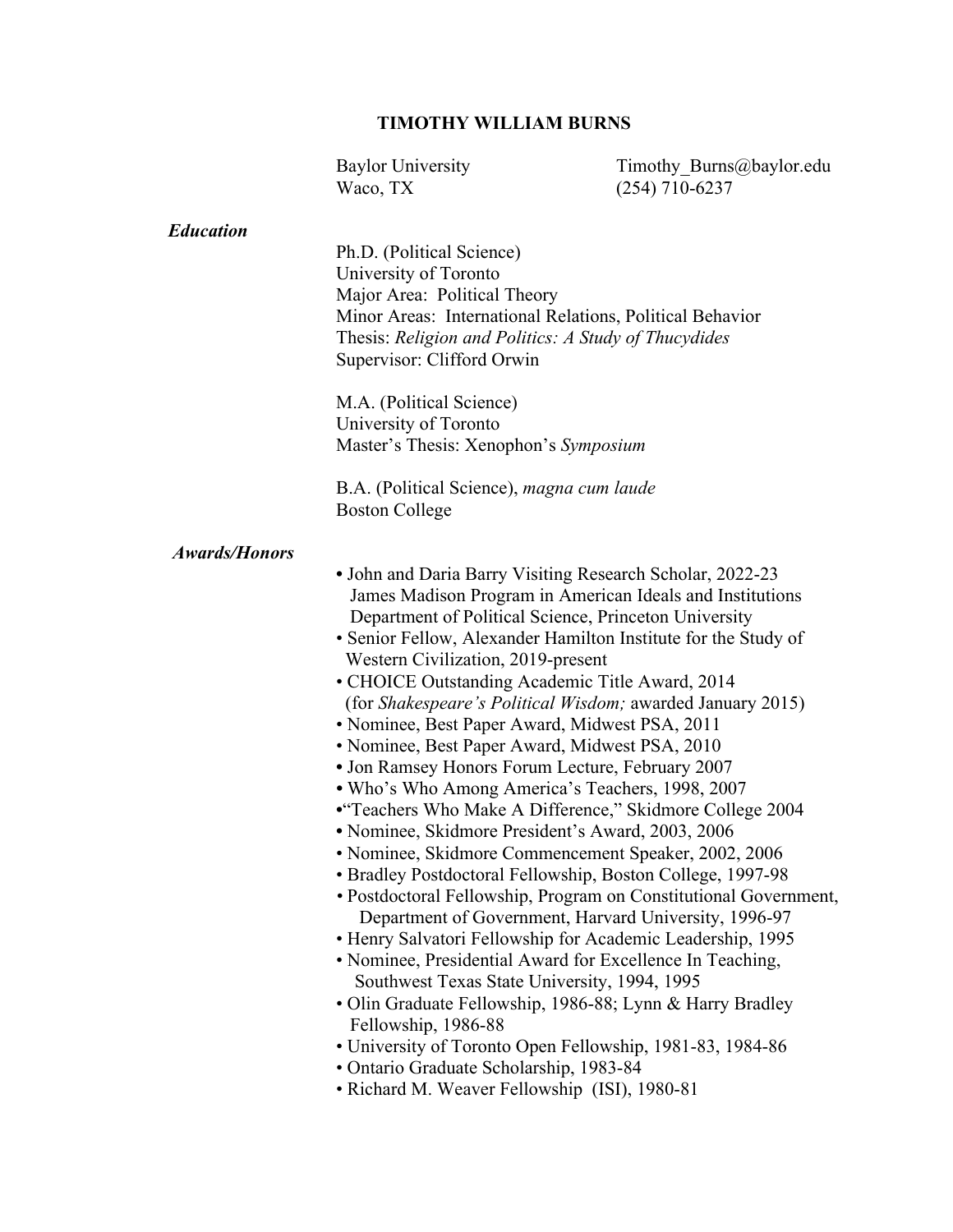### **TIMOTHY WILLIAM BURNS**

Baylor University Timothy Burns@baylor.edu Waco, TX (254) 710-6237 *Education* Ph.D. (Political Science) University of Toronto Major Area: Political Theory Minor Areas: International Relations, Political Behavior Thesis: *Religion and Politics: A Study of Thucydides* Supervisor: Clifford Orwin M.A. (Political Science) University of Toronto Master's Thesis: Xenophon's *Symposium* B.A. (Political Science), *magna cum laude*  Boston College  *Awards/Honors*   **•** John and Daria Barry Visiting Research Scholar, 2022-23 James Madison Program in American Ideals and Institutions Department of Political Science, Princeton University • Senior Fellow, Alexander Hamilton Institute for the Study of Western Civilization, 2019-present • CHOICE Outstanding Academic Title Award, 2014 (for *Shakespeare's Political Wisdom;* awarded January 2015) • Nominee, Best Paper Award, Midwest PSA, 2011 • Nominee, Best Paper Award, Midwest PSA, 2010  **•** Jon Ramsey Honors Forum Lecture, February 2007  *•* Who's Who Among America's Teachers, 1998, 2007 **•**"Teachers Who Make A Difference," Skidmore College 2004 **•** Nominee, Skidmore President's Award, 2003, 2006 • Nominee, Skidmore Commencement Speaker, 2002, 2006 • Bradley Postdoctoral Fellowship, Boston College, 1997-98  *•* Postdoctoral Fellowship, Program on Constitutional Government, Department of Government, Harvard University, 1996-97 • Henry Salvatori Fellowship for Academic Leadership, 1995 • Nominee, Presidential Award for Excellence In Teaching, Southwest Texas State University, 1994, 1995 • Olin Graduate Fellowship, 1986-88; Lynn & Harry Bradley Fellowship, 1986-88 • University of Toronto Open Fellowship, 1981-83, 1984-86 • Ontario Graduate Scholarship, 1983-84 • Richard M. Weaver Fellowship (ISI), 1980-81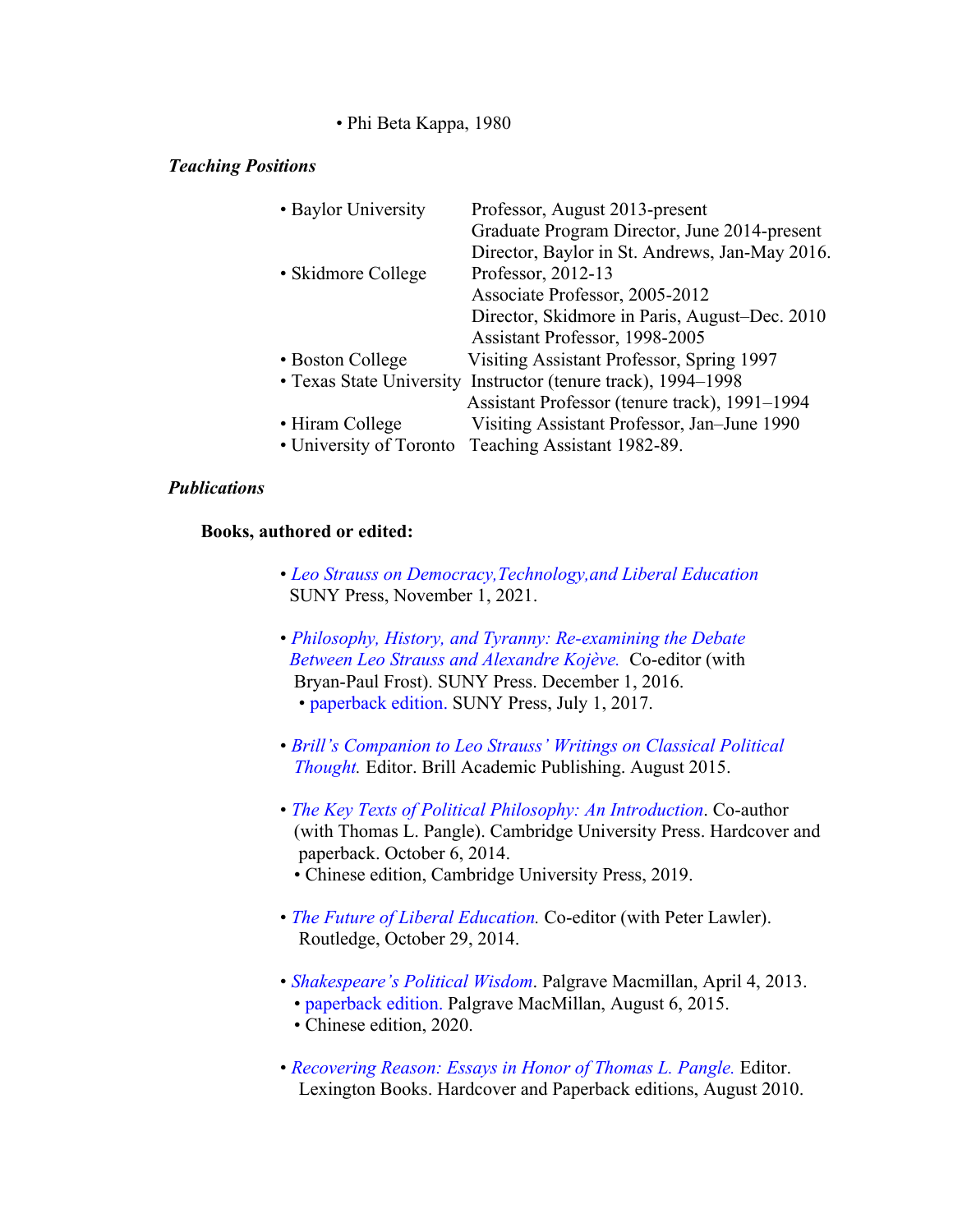• Phi Beta Kappa, 1980

## *Teaching Positions*

| • Baylor University | Professor, August 2013-present                                |
|---------------------|---------------------------------------------------------------|
|                     | Graduate Program Director, June 2014-present                  |
|                     | Director, Baylor in St. Andrews, Jan-May 2016.                |
| • Skidmore College  | Professor, 2012-13                                            |
|                     | Associate Professor, 2005-2012                                |
|                     | Director, Skidmore in Paris, August-Dec. 2010                 |
|                     | Assistant Professor, 1998-2005                                |
| • Boston College    | Visiting Assistant Professor, Spring 1997                     |
|                     | • Texas State University Instructor (tenure track), 1994–1998 |
|                     | Assistant Professor (tenure track), 1991-1994                 |
| • Hiram College     | Visiting Assistant Professor, Jan-June 1990                   |
|                     | • University of Toronto Teaching Assistant 1982-89.           |
|                     |                                                               |

## *Publications*

## **Books, authored or edited:**

- *Leo Strauss on Democracy,Technology,and Liberal Education* SUNY Press, November 1, 2021.
- *Philosophy, History, and Tyranny: Re-examining the Debate Between Leo Strauss and Alexandre Kojève.* Co-editor (with Bryan-Paul Frost). SUNY Press. December 1, 2016. • paperback edition. SUNY Press, July 1, 2017.
- *Brill's Companion to Leo Strauss' Writings on Classical Political Thought.* Editor. Brill Academic Publishing. August 2015.
- *The Key Texts of Political Philosophy: An Introduction*. Co-author (with Thomas L. Pangle). Cambridge University Press. Hardcover and paperback. October 6, 2014.
	- Chinese edition, Cambridge University Press, 2019.
- *The Future of Liberal Education.* Co-editor (with Peter Lawler). Routledge, October 29, 2014.
- *Shakespeare's Political Wisdom*. Palgrave Macmillan, April 4, 2013.
	- paperback edition. Palgrave MacMillan, August 6, 2015.
	- Chinese edition, 2020.
- *Recovering Reason: Essays in Honor of Thomas L. Pangle.* Editor. Lexington Books. Hardcover and Paperback editions, August 2010.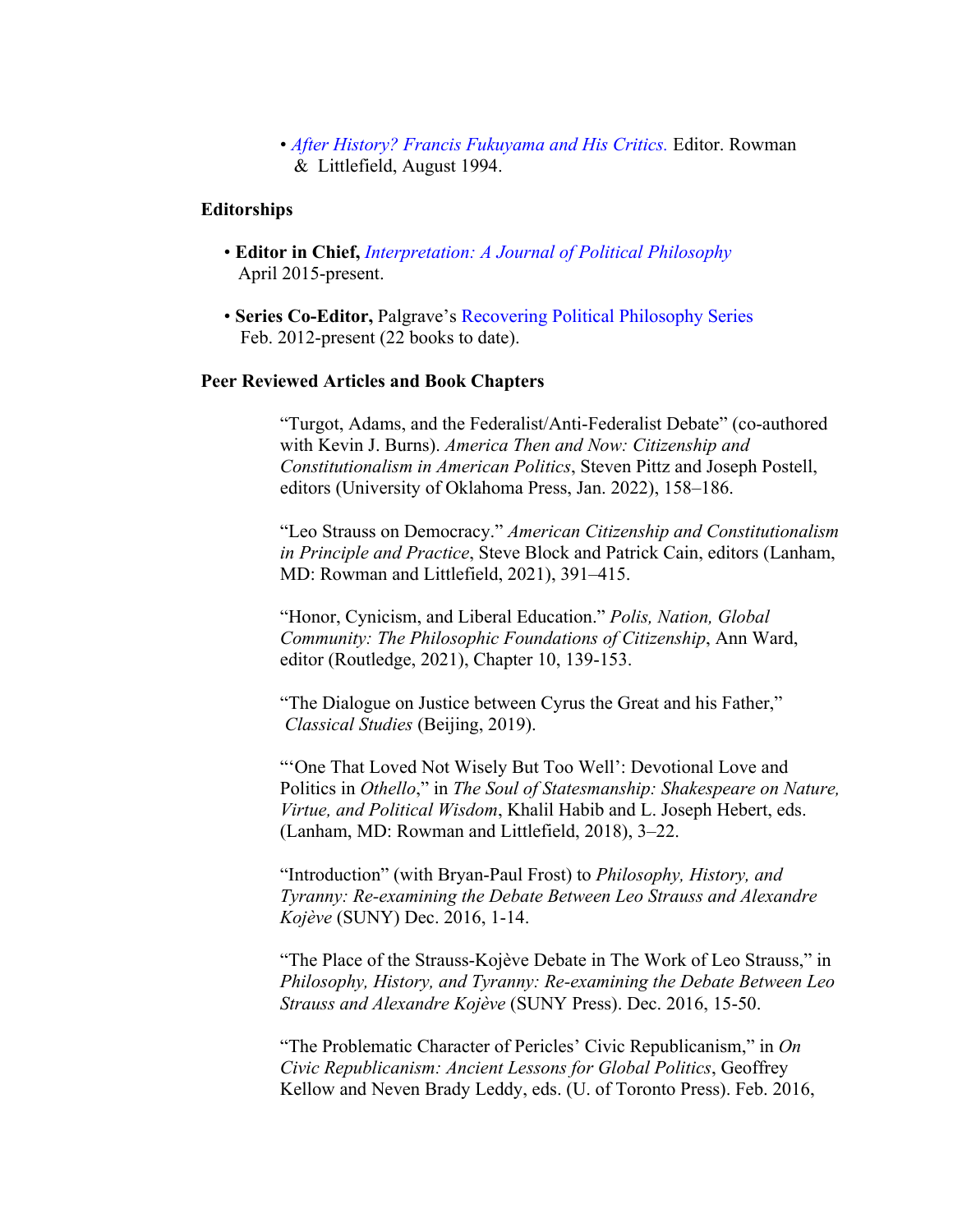• *After History? Francis Fukuyama and His Critics.* Editor. Rowman & Littlefield, August 1994.

### **Editorships**

- **Editor in Chief,** *Interpretation: A Journal of Political Philosophy*  April 2015-present.
- **Series Co-Editor,** Palgrave's Recovering Political Philosophy Series Feb. 2012-present (22 books to date).

### **Peer Reviewed Articles and Book Chapters**

"Turgot, Adams, and the Federalist/Anti-Federalist Debate" (co-authored with Kevin J. Burns). *America Then and Now: Citizenship and Constitutionalism in American Politics*, Steven Pittz and Joseph Postell, editors (University of Oklahoma Press, Jan. 2022), 158–186.

"Leo Strauss on Democracy." *American Citizenship and Constitutionalism in Principle and Practice*, Steve Block and Patrick Cain, editors (Lanham, MD: Rowman and Littlefield, 2021), 391–415.

"Honor, Cynicism, and Liberal Education." *Polis, Nation, Global Community: The Philosophic Foundations of Citizenship*, Ann Ward, editor (Routledge, 2021), Chapter 10, 139-153.

"The Dialogue on Justice between Cyrus the Great and his Father," *Classical Studies* (Beijing, 2019).

"'One That Loved Not Wisely But Too Well': Devotional Love and Politics in *Othello*," in *The Soul of Statesmanship: Shakespeare on Nature, Virtue, and Political Wisdom*, Khalil Habib and L. Joseph Hebert, eds. (Lanham, MD: Rowman and Littlefield, 2018), 3–22.

"Introduction" (with Bryan-Paul Frost) to *Philosophy, History, and Tyranny: Re-examining the Debate Between Leo Strauss and Alexandre Kojève* (SUNY) Dec. 2016, 1-14.

"The Place of the Strauss-Kojève Debate in The Work of Leo Strauss," in *Philosophy, History, and Tyranny: Re-examining the Debate Between Leo Strauss and Alexandre Kojève* (SUNY Press). Dec. 2016, 15-50.

"The Problematic Character of Pericles' Civic Republicanism," in *On Civic Republicanism: Ancient Lessons for Global Politics*, Geoffrey Kellow and Neven Brady Leddy, eds. (U. of Toronto Press). Feb. 2016,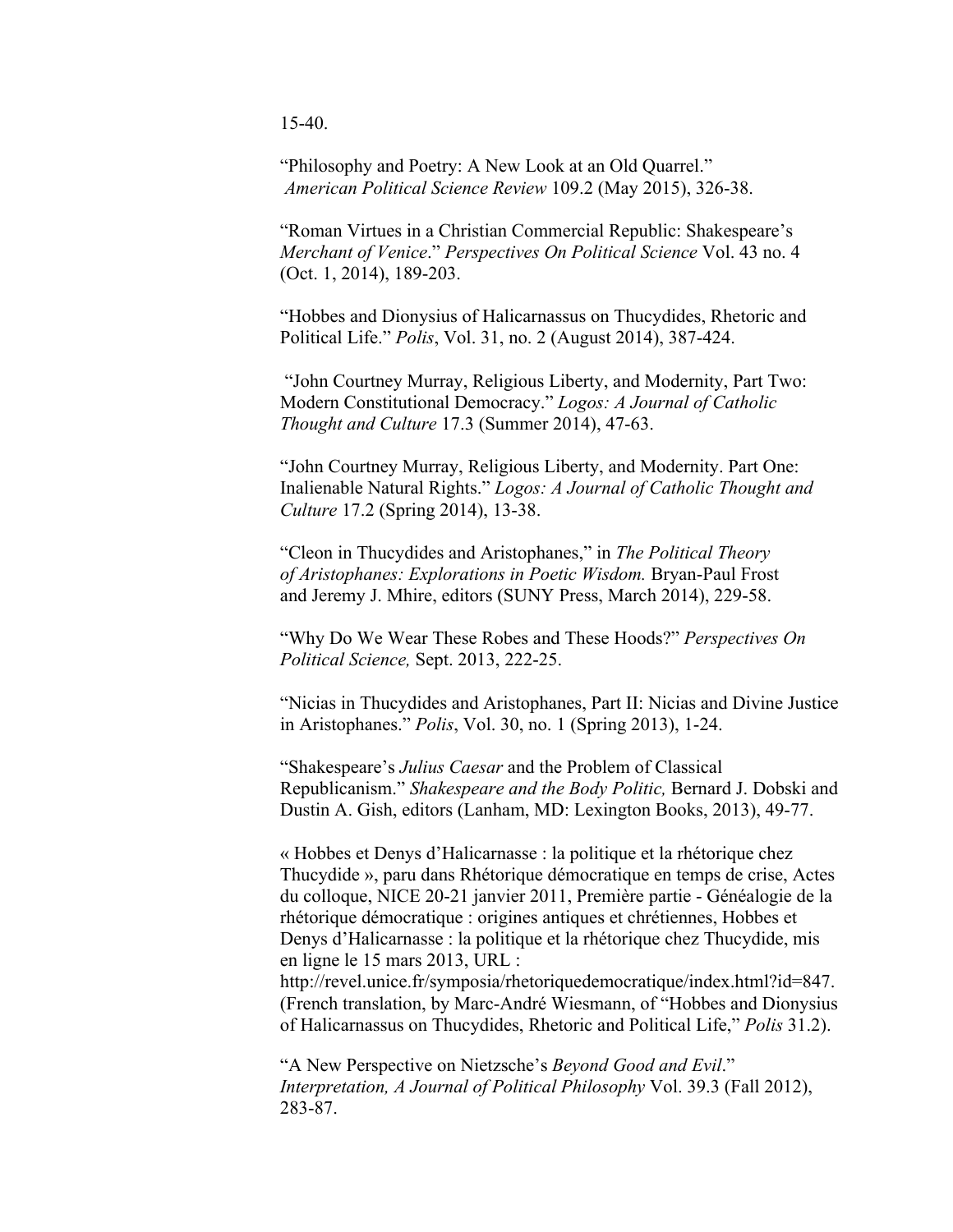15-40.

"Philosophy and Poetry: A New Look at an Old Quarrel."  *American Political Science Review* 109.2 (May 2015), 326-38.

"Roman Virtues in a Christian Commercial Republic: Shakespeare's *Merchant of Venice*." *Perspectives On Political Science* Vol. 43 no. 4 (Oct. 1, 2014), 189-203.

"Hobbes and Dionysius of Halicarnassus on Thucydides, Rhetoric and Political Life." *Polis*, Vol. 31, no. 2 (August 2014), 387-424.

 "John Courtney Murray, Religious Liberty, and Modernity, Part Two: Modern Constitutional Democracy." *Logos: A Journal of Catholic Thought and Culture* 17.3 (Summer 2014), 47-63.

"John Courtney Murray, Religious Liberty, and Modernity. Part One: Inalienable Natural Rights." *Logos: A Journal of Catholic Thought and Culture* 17.2 (Spring 2014), 13-38.

"Cleon in Thucydides and Aristophanes," in *The Political Theory of Aristophanes: Explorations in Poetic Wisdom.* Bryan-Paul Frost and Jeremy J. Mhire, editors (SUNY Press, March 2014), 229-58.

"Why Do We Wear These Robes and These Hoods?" *Perspectives On Political Science,* Sept. 2013, 222-25.

"Nicias in Thucydides and Aristophanes, Part II: Nicias and Divine Justice in Aristophanes." *Polis*, Vol. 30, no. 1 (Spring 2013), 1-24.

"Shakespeare's *Julius Caesar* and the Problem of Classical Republicanism." *Shakespeare and the Body Politic,* Bernard J. Dobski and Dustin A. Gish, editors (Lanham, MD: Lexington Books, 2013), 49-77.

« Hobbes et Denys d'Halicarnasse : la politique et la rhétorique chez Thucydide », paru dans Rhétorique démocratique en temps de crise, Actes du colloque, NICE 20-21 janvier 2011, Première partie - Généalogie de la rhétorique démocratique : origines antiques et chrétiennes, Hobbes et Denys d'Halicarnasse : la politique et la rhétorique chez Thucydide, mis en ligne le 15 mars 2013, URL :

http://revel.unice.fr/symposia/rhetoriquedemocratique/index.html?id=847. (French translation, by Marc-André Wiesmann, of "Hobbes and Dionysius of Halicarnassus on Thucydides, Rhetoric and Political Life," *Polis* 31.2).

"A New Perspective on Nietzsche's *Beyond Good and Evil*." *Interpretation, A Journal of Political Philosophy* Vol. 39.3 (Fall 2012), 283-87.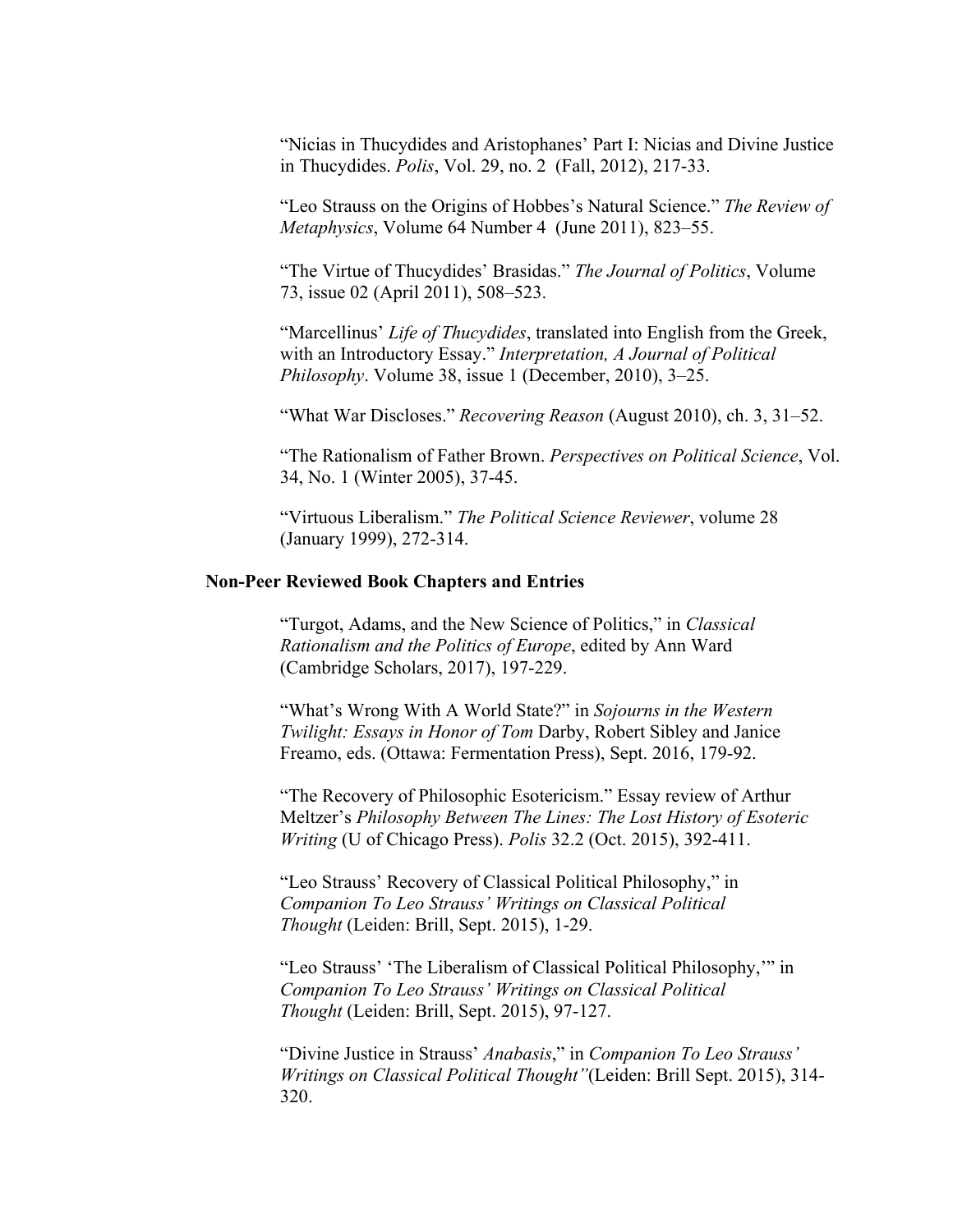"Nicias in Thucydides and Aristophanes' Part I: Nicias and Divine Justice in Thucydides. *Polis*, Vol. 29, no. 2 (Fall, 2012), 217-33.

"Leo Strauss on the Origins of Hobbes's Natural Science." *The Review of Metaphysics*, Volume 64 Number 4 (June 2011), 823–55.

 "The Virtue of Thucydides' Brasidas." *The Journal of Politics*, Volume 73, issue 02 (April 2011), 508–523.

"Marcellinus' *Life of Thucydides*, translated into English from the Greek, with an Introductory Essay." *Interpretation, A Journal of Political Philosophy*. Volume 38, issue 1 (December, 2010), 3–25.

"What War Discloses." *Recovering Reason* (August 2010), ch. 3, 31–52.

"The Rationalism of Father Brown. *Perspectives on Political Science*, Vol. 34, No. 1 (Winter 2005), 37-45.

"Virtuous Liberalism." *The Political Science Reviewer*, volume 28 (January 1999), 272-314.

### **Non-Peer Reviewed Book Chapters and Entries**

 "Turgot, Adams, and the New Science of Politics," in *Classical Rationalism and the Politics of Europe*, edited by Ann Ward (Cambridge Scholars, 2017), 197-229.

"What's Wrong With A World State?" in *Sojourns in the Western Twilight: Essays in Honor of Tom* Darby, Robert Sibley and Janice Freamo, eds. (Ottawa: Fermentation Press), Sept. 2016, 179-92.

"The Recovery of Philosophic Esotericism." Essay review of Arthur Meltzer's *Philosophy Between The Lines: The Lost History of Esoteric Writing* (U of Chicago Press). *Polis* 32.2 (Oct. 2015), 392-411.

"Leo Strauss' Recovery of Classical Political Philosophy," in *Companion To Leo Strauss' Writings on Classical Political Thought* (Leiden: Brill, Sept. 2015), 1-29.

"Leo Strauss' 'The Liberalism of Classical Political Philosophy,'" in *Companion To Leo Strauss' Writings on Classical Political Thought* (Leiden: Brill, Sept. 2015), 97-127.

"Divine Justice in Strauss' *Anabasis*," in *Companion To Leo Strauss' Writings on Classical Political Thought"*(Leiden: Brill Sept. 2015), 314- 320.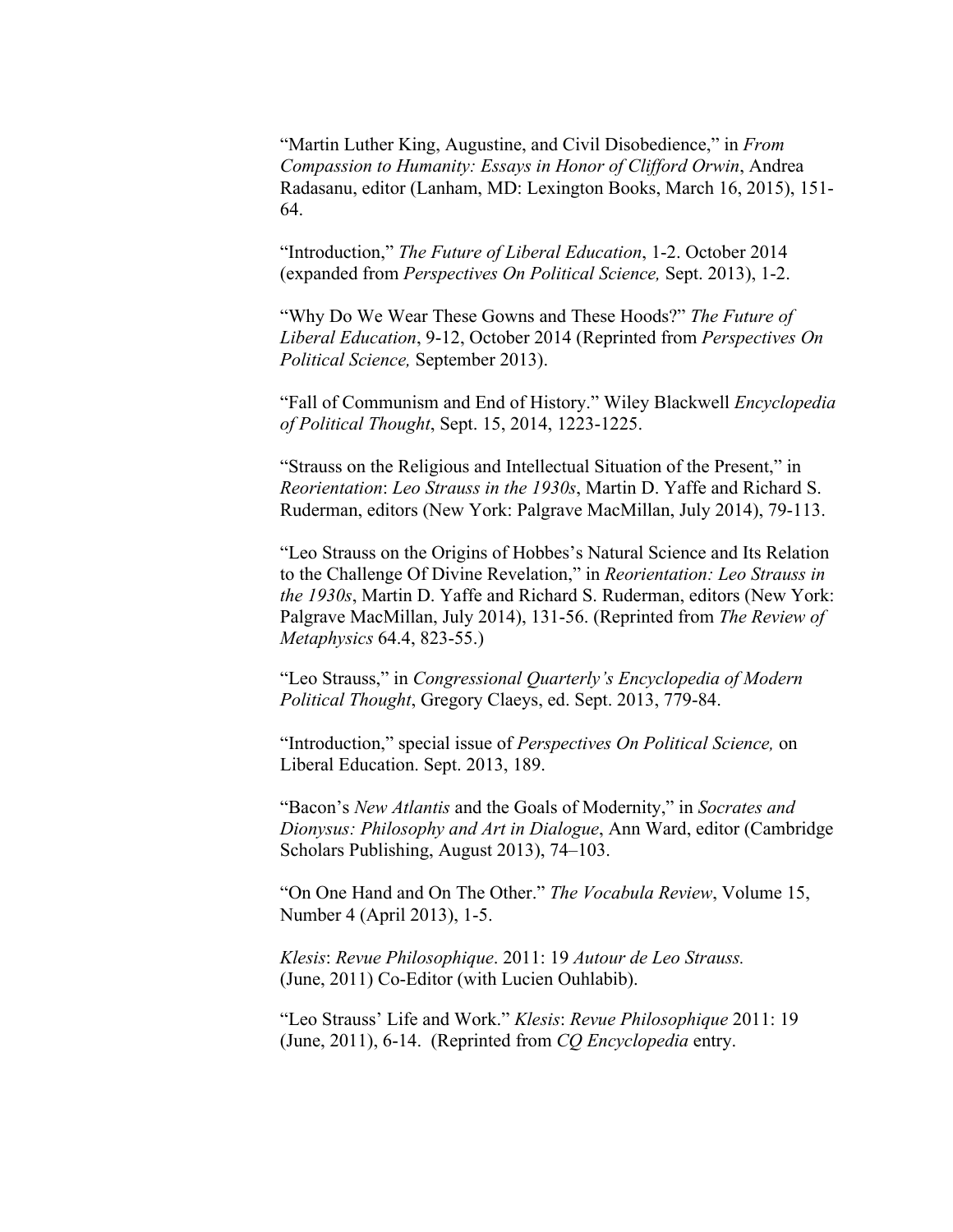"Martin Luther King, Augustine, and Civil Disobedience," in *From Compassion to Humanity: Essays in Honor of Clifford Orwin*, Andrea Radasanu, editor (Lanham, MD: Lexington Books, March 16, 2015), 151- 64.

"Introduction," *The Future of Liberal Education*, 1-2. October 2014 (expanded from *Perspectives On Political Science,* Sept. 2013), 1-2.

"Why Do We Wear These Gowns and These Hoods?" *The Future of Liberal Education*, 9-12, October 2014 (Reprinted from *Perspectives On Political Science,* September 2013).

"Fall of Communism and End of History." Wiley Blackwell *Encyclopedia of Political Thought*, Sept. 15, 2014, 1223-1225.

"Strauss on the Religious and Intellectual Situation of the Present," in *Reorientation*: *Leo Strauss in the 1930s*, Martin D. Yaffe and Richard S. Ruderman, editors (New York: Palgrave MacMillan, July 2014), 79-113.

"Leo Strauss on the Origins of Hobbes's Natural Science and Its Relation to the Challenge Of Divine Revelation," in *Reorientation: Leo Strauss in the 1930s*, Martin D. Yaffe and Richard S. Ruderman, editors (New York: Palgrave MacMillan, July 2014), 131-56. (Reprinted from *The Review of Metaphysics* 64.4, 823-55.)

"Leo Strauss," in *Congressional Quarterly's Encyclopedia of Modern Political Thought*, Gregory Claeys, ed. Sept. 2013, 779-84.

"Introduction," special issue of *Perspectives On Political Science,* on Liberal Education. Sept. 2013, 189.

"Bacon's *New Atlantis* and the Goals of Modernity," in *Socrates and Dionysus: Philosophy and Art in Dialogue*, Ann Ward, editor (Cambridge Scholars Publishing, August 2013), 74–103.

"On One Hand and On The Other." *The Vocabula Review*, Volume 15, Number 4 (April 2013), 1-5.

 *Klesis*: *Revue Philosophique*. 2011: 19 *Autour de Leo Strauss.* (June, 2011) Co-Editor (with Lucien Ouhlabib).

"Leo Strauss' Life and Work." *Klesis*: *Revue Philosophique* 2011: 19 (June, 2011), 6-14. (Reprinted from *CQ Encyclopedia* entry.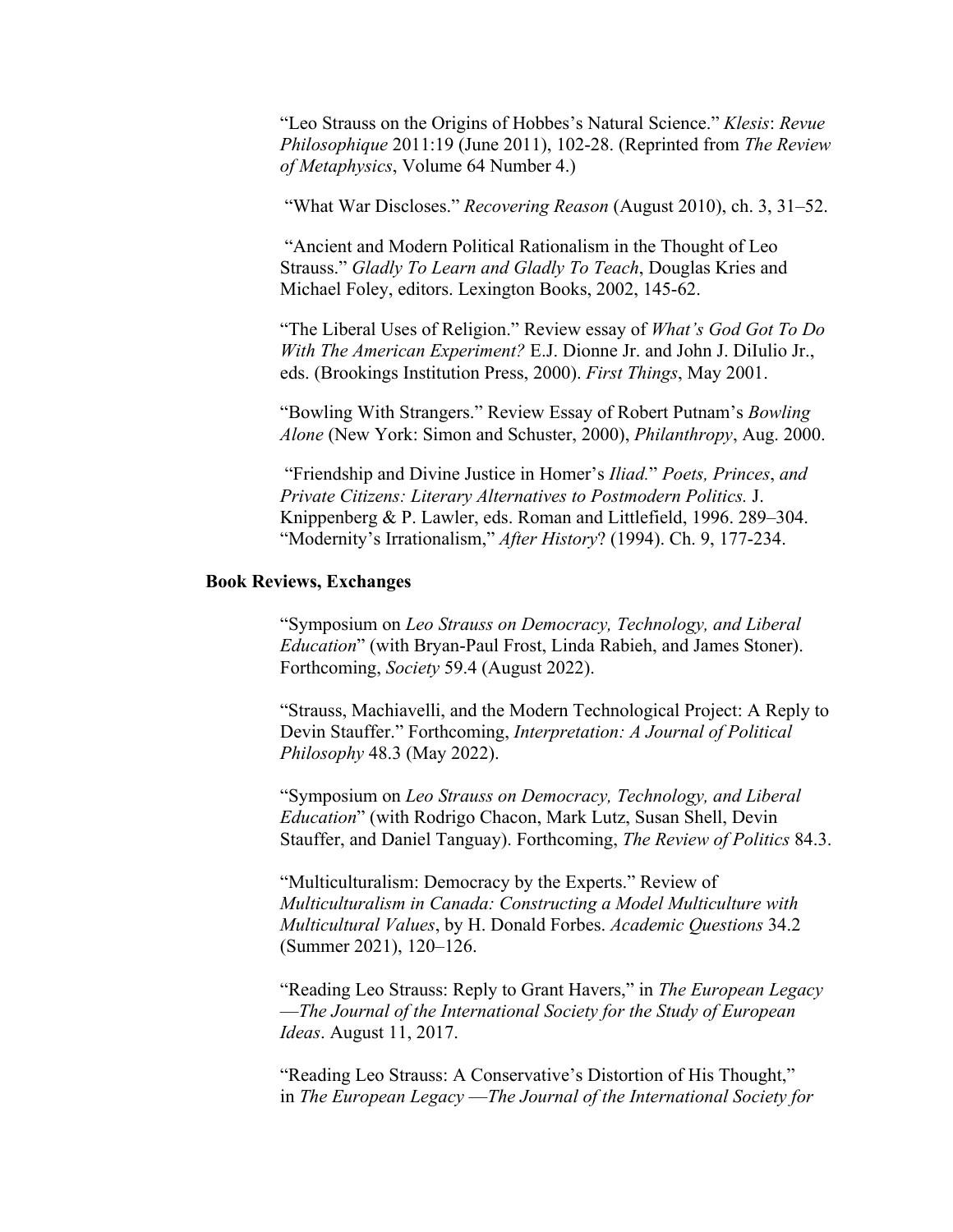"Leo Strauss on the Origins of Hobbes's Natural Science." *Klesis*: *Revue Philosophique* 2011:19 (June 2011), 102-28. (Reprinted from *The Review of Metaphysics*, Volume 64 Number 4.)

"What War Discloses." *Recovering Reason* (August 2010), ch. 3, 31–52.

 "Ancient and Modern Political Rationalism in the Thought of Leo Strauss." *Gladly To Learn and Gladly To Teach*, Douglas Kries and Michael Foley, editors. Lexington Books, 2002, 145-62.

"The Liberal Uses of Religion." Review essay of *What's God Got To Do With The American Experiment?* E.J. Dionne Jr. and John J. DiIulio Jr., eds. (Brookings Institution Press, 2000). *First Things*, May 2001.

"Bowling With Strangers." Review Essay of Robert Putnam's *Bowling Alone* (New York: Simon and Schuster, 2000), *Philanthropy*, Aug. 2000.

 "Friendship and Divine Justice in Homer's *Iliad.*" *Poets, Princes*, *and Private Citizens: Literary Alternatives to Postmodern Politics.* J. Knippenberg & P. Lawler, eds. Roman and Littlefield, 1996. 289–304. "Modernity's Irrationalism," *After History*? (1994). Ch. 9, 177-234.

### **Book Reviews, Exchanges**

"Symposium on *Leo Strauss on Democracy, Technology, and Liberal Education*" (with Bryan-Paul Frost, Linda Rabieh, and James Stoner). Forthcoming, *Society* 59.4 (August 2022).

"Strauss, Machiavelli, and the Modern Technological Project: A Reply to Devin Stauffer." Forthcoming, *Interpretation: A Journal of Political Philosophy* 48.3 (May 2022).

"Symposium on *Leo Strauss on Democracy, Technology, and Liberal Education*" (with Rodrigo Chacon, Mark Lutz, Susan Shell, Devin Stauffer, and Daniel Tanguay). Forthcoming, *The Review of Politics* 84.3.

"Multiculturalism: Democracy by the Experts." Review of *Multiculturalism in Canada: Constructing a Model Multiculture with Multicultural Values*, by H. Donald Forbes. *Academic Questions* 34.2 (Summer 2021), 120–126.

"Reading Leo Strauss: Reply to Grant Havers," in *The European Legacy*  —*The Journal of the International Society for the Study of European Ideas*. August 11, 2017.

"Reading Leo Strauss: A Conservative's Distortion of His Thought," in *The European Legacy* —*The Journal of the International Society for*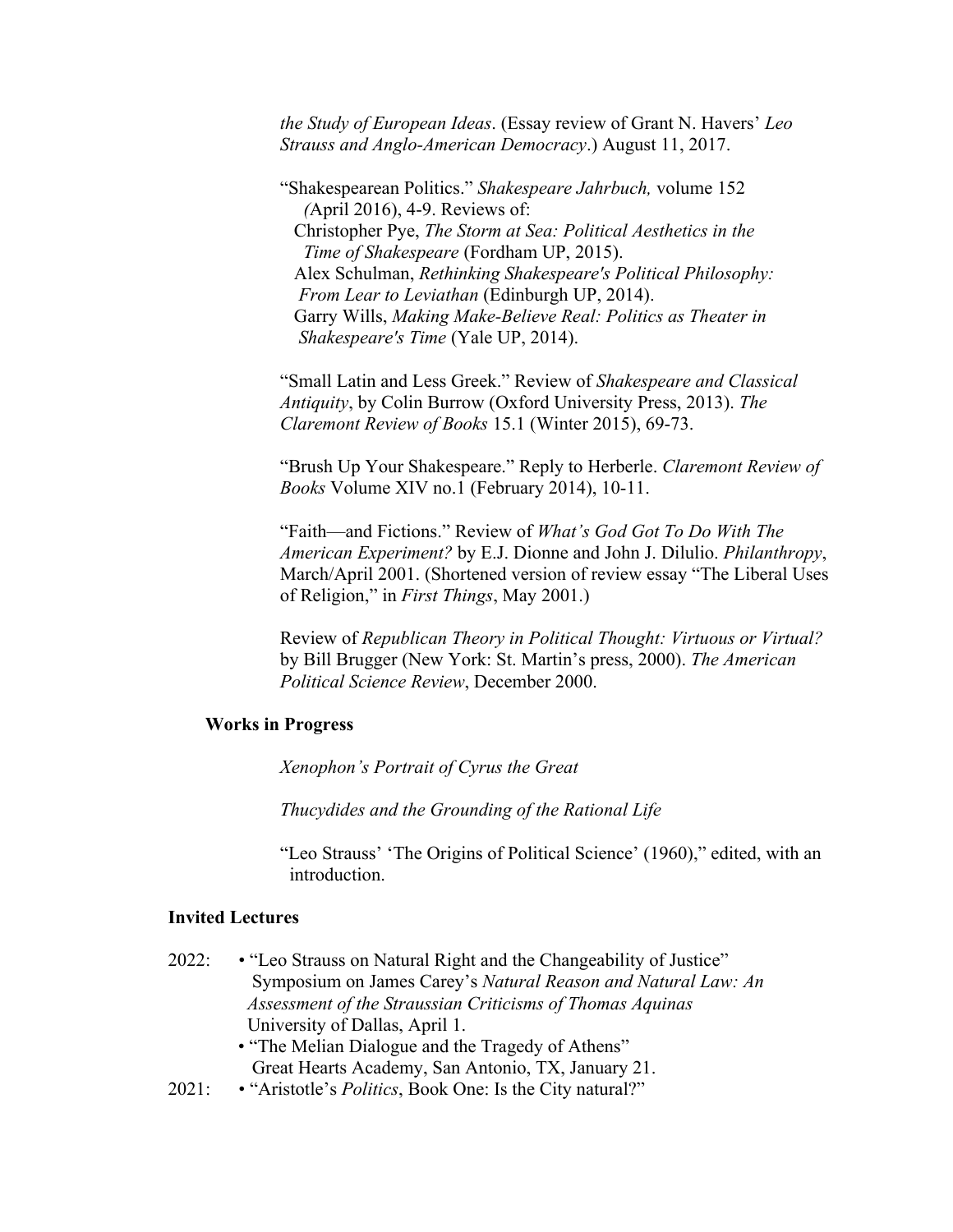*the Study of European Ideas*. (Essay review of Grant N. Havers' *Leo Strauss and Anglo-American Democracy*.) August 11, 2017.

"Shakespearean Politics." *Shakespeare Jahrbuch,* volume 152 *(*April 2016), 4-9. Reviews of: Christopher Pye, *The Storm at Sea: Political Aesthetics in the Time of Shakespeare* (Fordham UP, 2015). Alex Schulman, *Rethinking Shakespeare's Political Philosophy: From Lear to Leviathan* (Edinburgh UP, 2014). Garry Wills, *Making Make-Believe Real: Politics as Theater in Shakespeare's Time* (Yale UP, 2014).

"Small Latin and Less Greek." Review of *Shakespeare and Classical Antiquity*, by Colin Burrow (Oxford University Press, 2013). *The Claremont Review of Books* 15.1 (Winter 2015), 69-73.

"Brush Up Your Shakespeare." Reply to Herberle. *Claremont Review of Books* Volume XIV no.1 (February 2014), 10-11.

"Faith—and Fictions." Review of *What's God Got To Do With The American Experiment?* by E.J. Dionne and John J. Dilulio. *Philanthropy*, March/April 2001. (Shortened version of review essay "The Liberal Uses of Religion," in *First Things*, May 2001.)

Review of *Republican Theory in Political Thought: Virtuous or Virtual?* by Bill Brugger (New York: St. Martin's press, 2000). *The American Political Science Review*, December 2000.

### **Works in Progress**

*Xenophon's Portrait of Cyrus the Great* 

 *Thucydides and the Grounding of the Rational Life*

 "Leo Strauss' 'The Origins of Political Science' (1960)," edited, with an introduction.

## **Invited Lectures**

- 2022: "Leo Strauss on Natural Right and the Changeability of Justice" Symposium on James Carey's *Natural Reason and Natural Law: An Assessment of the Straussian Criticisms of Thomas Aquinas*  University of Dallas, April 1. • "The Melian Dialogue and the Tragedy of Athens"
	- Great Hearts Academy, San Antonio, TX, January 21.
- 2021: "Aristotle's *Politics*, Book One: Is the City natural?"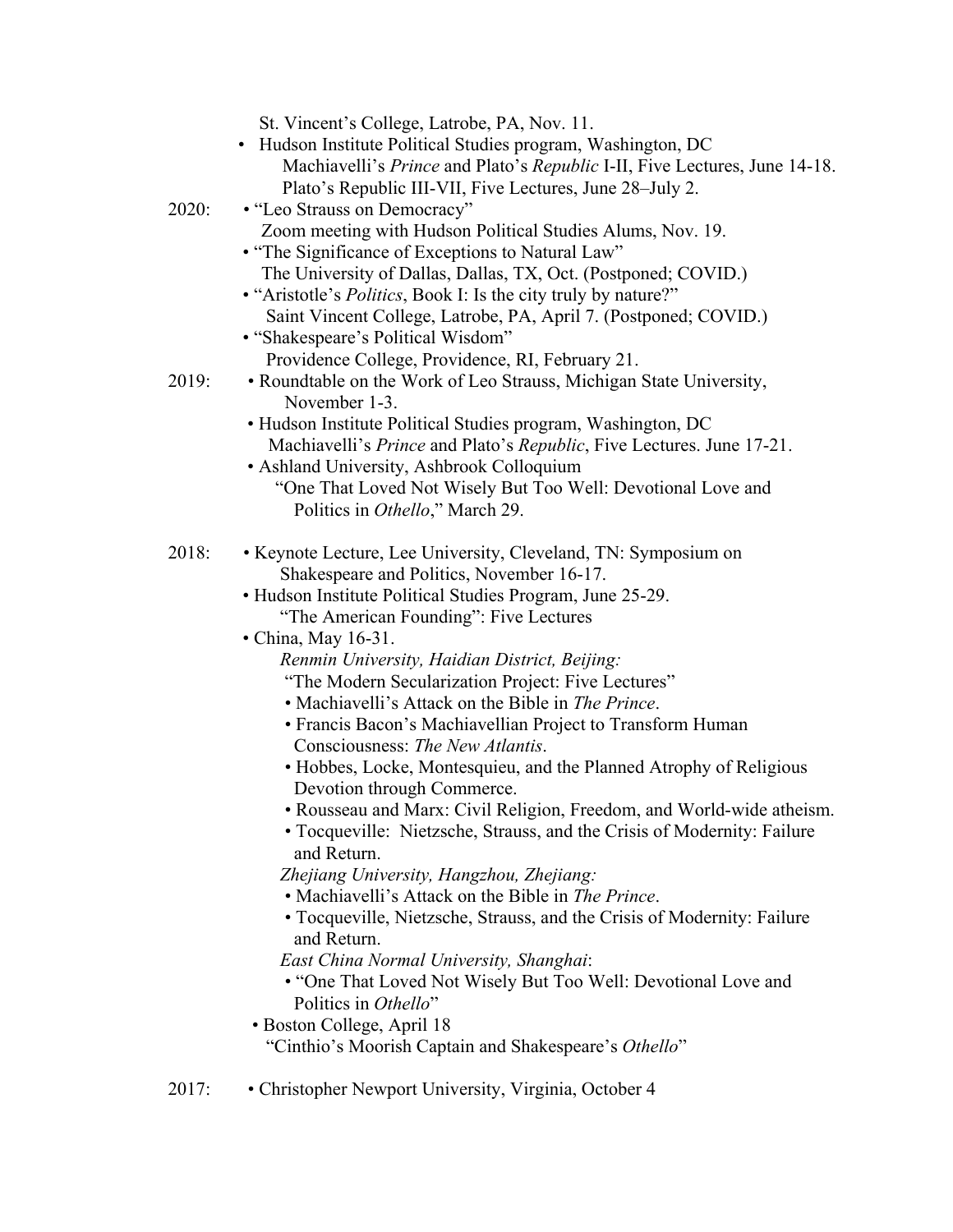|       | St. Vincent's College, Latrobe, PA, Nov. 11.                                                     |
|-------|--------------------------------------------------------------------------------------------------|
|       | • Hudson Institute Political Studies program, Washington, DC                                     |
|       | Machiavelli's Prince and Plato's Republic I-II, Five Lectures, June 14-18.                       |
|       | Plato's Republic III-VII, Five Lectures, June 28–July 2.                                         |
| 2020: | • "Leo Strauss on Democracy"                                                                     |
|       | Zoom meeting with Hudson Political Studies Alums, Nov. 19.                                       |
|       | • "The Significance of Exceptions to Natural Law"                                                |
|       | The University of Dallas, Dallas, TX, Oct. (Postponed; COVID.)                                   |
|       | • "Aristotle's <i>Politics</i> , Book I: Is the city truly by nature?"                           |
|       | Saint Vincent College, Latrobe, PA, April 7. (Postponed; COVID.)                                 |
|       | • "Shakespeare's Political Wisdom"                                                               |
|       | Providence College, Providence, RI, February 21.                                                 |
| 2019: | • Roundtable on the Work of Leo Strauss, Michigan State University,<br>November 1-3.             |
|       | • Hudson Institute Political Studies program, Washington, DC                                     |
|       | Machiavelli's Prince and Plato's Republic, Five Lectures. June 17-21.                            |
|       | • Ashland University, Ashbrook Colloquium                                                        |
|       | "One That Loved Not Wisely But Too Well: Devotional Love and                                     |
|       | Politics in Othello," March 29.                                                                  |
| 2018: | • Keynote Lecture, Lee University, Cleveland, TN: Symposium on                                   |
|       | Shakespeare and Politics, November 16-17.                                                        |
|       | • Hudson Institute Political Studies Program, June 25-29.                                        |
|       | "The American Founding": Five Lectures                                                           |
|       | • China, May 16-31.                                                                              |
|       | Renmin University, Haidian District, Beijing:                                                    |
|       | "The Modern Secularization Project: Five Lectures"                                               |
|       | • Machiavelli's Attack on the Bible in The Prince.                                               |
|       | • Francis Bacon's Machiavellian Project to Transform Human                                       |
|       | Consciousness: The New Atlantis.                                                                 |
|       | • Hobbes, Locke, Montesquieu, and the Planned Atrophy of Religious<br>Devotion through Commerce. |
|       | · Rousseau and Marx: Civil Religion, Freedom, and World-wide atheism.                            |
|       | • Tocqueville: Nietzsche, Strauss, and the Crisis of Modernity: Failure                          |
|       | and Return.                                                                                      |
|       | Zhejiang University, Hangzhou, Zhejiang:                                                         |
|       | • Machiavelli's Attack on the Bible in The Prince.                                               |
|       | • Tocqueville, Nietzsche, Strauss, and the Crisis of Modernity: Failure<br>and Return.           |
|       | East China Normal University, Shanghai:                                                          |
|       | • "One That Loved Not Wisely But Too Well: Devotional Love and                                   |
|       | Politics in Othello"                                                                             |
|       | · Boston College, April 18                                                                       |
|       | "Cinthio's Moorish Captain and Shakespeare's Othello"                                            |
| 2017: | • Christopher Newport University, Virginia, October 4                                            |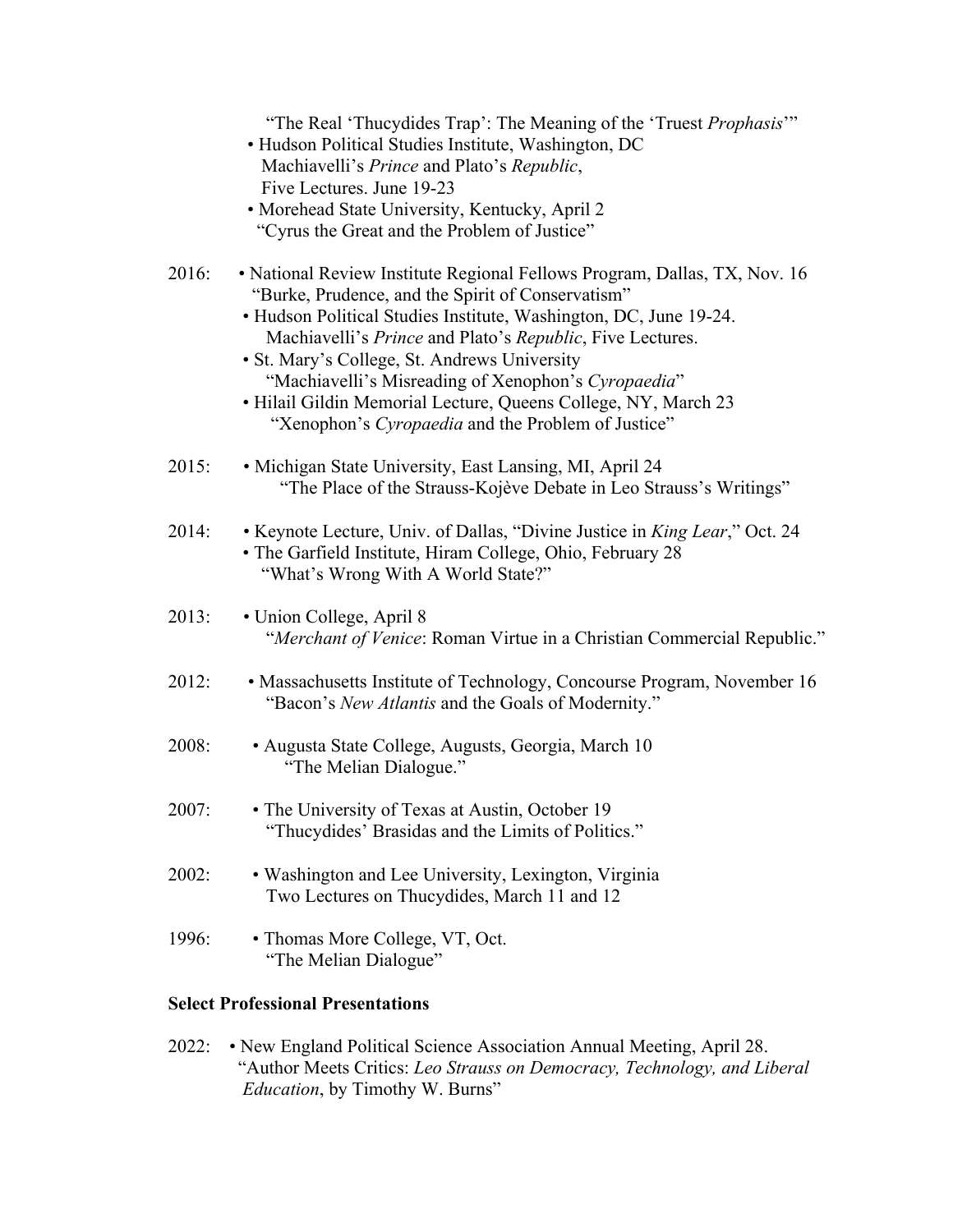|       | "The Real 'Thucydides Trap': The Meaning of the 'Truest Prophasis'"<br>• Hudson Political Studies Institute, Washington, DC<br>Machiavelli's Prince and Plato's Republic,<br>Five Lectures. June 19-23<br>• Morehead State University, Kentucky, April 2<br>"Cyrus the Great and the Problem of Justice"                                                                                                                                                                                        |
|-------|-------------------------------------------------------------------------------------------------------------------------------------------------------------------------------------------------------------------------------------------------------------------------------------------------------------------------------------------------------------------------------------------------------------------------------------------------------------------------------------------------|
| 2016: | • National Review Institute Regional Fellows Program, Dallas, TX, Nov. 16<br>"Burke, Prudence, and the Spirit of Conservatism"<br>• Hudson Political Studies Institute, Washington, DC, June 19-24.<br>Machiavelli's Prince and Plato's Republic, Five Lectures.<br>• St. Mary's College, St. Andrews University<br>"Machiavelli's Misreading of Xenophon's Cyropaedia"<br>· Hilail Gildin Memorial Lecture, Queens College, NY, March 23<br>"Xenophon's Cyropaedia and the Problem of Justice" |
| 2015: | • Michigan State University, East Lansing, MI, April 24<br>"The Place of the Strauss-Kojève Debate in Leo Strauss's Writings"                                                                                                                                                                                                                                                                                                                                                                   |
| 2014: | • Keynote Lecture, Univ. of Dallas, "Divine Justice in King Lear," Oct. 24<br>· The Garfield Institute, Hiram College, Ohio, February 28<br>"What's Wrong With A World State?"                                                                                                                                                                                                                                                                                                                  |
| 2013: | • Union College, April 8<br>"Merchant of Venice: Roman Virtue in a Christian Commercial Republic."                                                                                                                                                                                                                                                                                                                                                                                              |
| 2012: | • Massachusetts Institute of Technology, Concourse Program, November 16<br>"Bacon's New Atlantis and the Goals of Modernity."                                                                                                                                                                                                                                                                                                                                                                   |
| 2008: | · Augusta State College, Augusts, Georgia, March 10<br>"The Melian Dialogue."                                                                                                                                                                                                                                                                                                                                                                                                                   |
| 2007: | • The University of Texas at Austin, October 19<br>"Thucydides' Brasidas and the Limits of Politics."                                                                                                                                                                                                                                                                                                                                                                                           |
| 2002: | • Washington and Lee University, Lexington, Virginia<br>Two Lectures on Thucydides, March 11 and 12                                                                                                                                                                                                                                                                                                                                                                                             |
| 1996: | • Thomas More College, VT, Oct.<br>"The Melian Dialogue"                                                                                                                                                                                                                                                                                                                                                                                                                                        |
|       |                                                                                                                                                                                                                                                                                                                                                                                                                                                                                                 |

# **Select Professional Presentations**

2022: • New England Political Science Association Annual Meeting, April 28. "Author Meets Critics: *Leo Strauss on Democracy, Technology, and Liberal Education*, by Timothy W. Burns"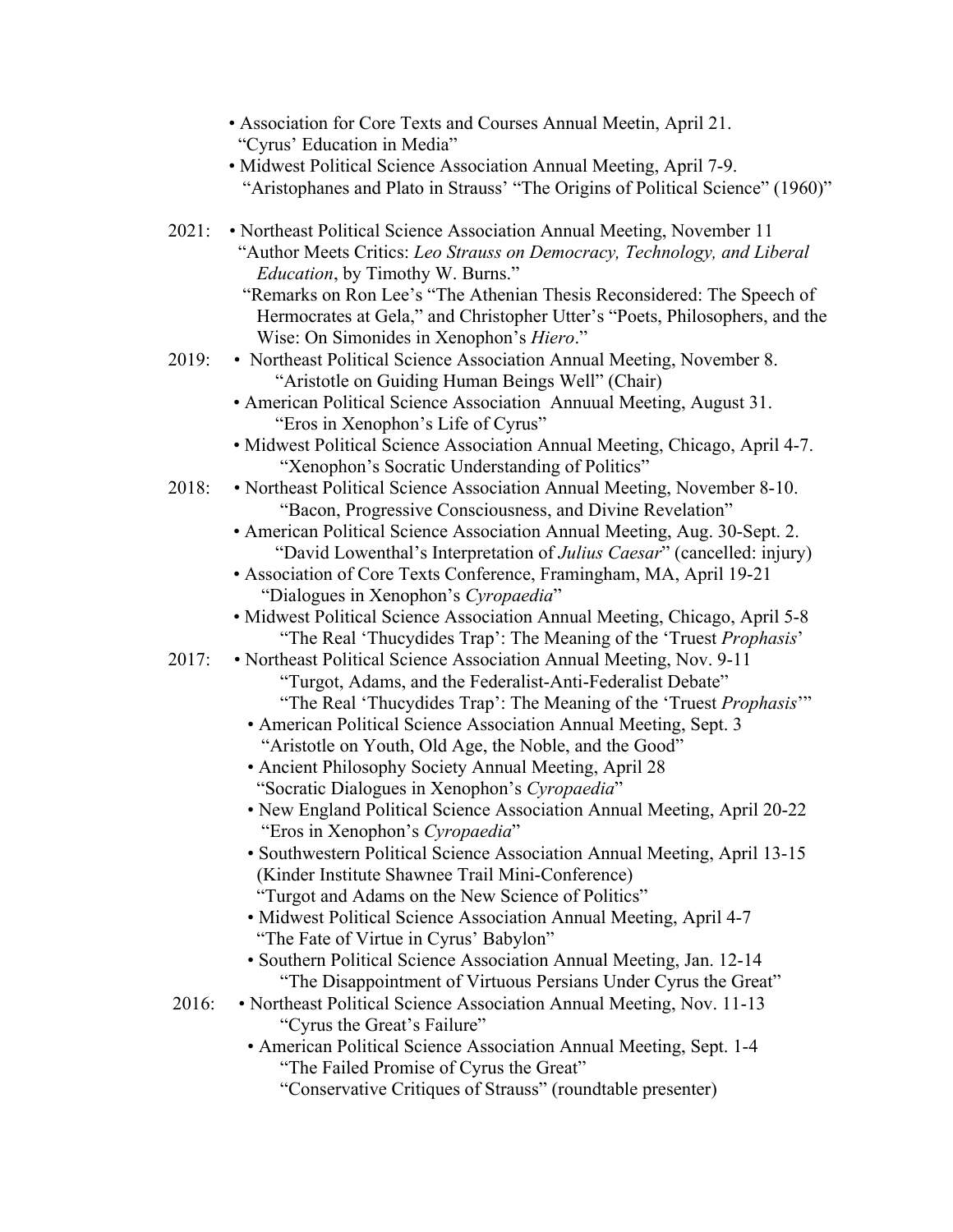| 2021:<br>• Northeast Political Science Association Annual Meeting, November 11                                                                                                                    | "Aristophanes and Plato in Strauss' "The Origins of Political Science" (1960)" |
|---------------------------------------------------------------------------------------------------------------------------------------------------------------------------------------------------|--------------------------------------------------------------------------------|
| "Author Meets Critics: Leo Strauss on Democracy, Technology, and Liberal<br><i>Education</i> , by Timothy W. Burns."                                                                              |                                                                                |
| "Remarks on Ron Lee's "The Athenian Thesis Reconsidered: The Speech of<br>Hermocrates at Gela," and Christopher Utter's "Poets, Philosophers, and the<br>Wise: On Simonides in Xenophon's Hiero." |                                                                                |
| • Northeast Political Science Association Annual Meeting, November 8.<br>2019:<br>"Aristotle on Guiding Human Beings Well" (Chair)                                                                |                                                                                |
| • American Political Science Association Annuual Meeting, August 31.<br>"Eros in Xenophon's Life of Cyrus"                                                                                        |                                                                                |
| · Midwest Political Science Association Annual Meeting, Chicago, April 4-7.<br>"Xenophon's Socratic Understanding of Politics"                                                                    |                                                                                |
| • Northeast Political Science Association Annual Meeting, November 8-10.<br>2018:<br>"Bacon, Progressive Consciousness, and Divine Revelation"                                                    |                                                                                |
| • American Political Science Association Annual Meeting, Aug. 30-Sept. 2.<br>"David Lowenthal's Interpretation of Julius Caesar" (cancelled: injury)                                              |                                                                                |
| · Association of Core Texts Conference, Framingham, MA, April 19-21<br>"Dialogues in Xenophon's Cyropaedia"                                                                                       |                                                                                |
| · Midwest Political Science Association Annual Meeting, Chicago, April 5-8<br>"The Real 'Thucydides Trap': The Meaning of the 'Truest Prophasis'                                                  |                                                                                |
| • Northeast Political Science Association Annual Meeting, Nov. 9-11<br>2017:<br>"Turgot, Adams, and the Federalist-Anti-Federalist Debate"                                                        |                                                                                |
| "The Real 'Thucydides Trap': The Meaning of the 'Truest Prophasis'"<br>• American Political Science Association Annual Meeting, Sept. 3                                                           |                                                                                |
| "Aristotle on Youth, Old Age, the Noble, and the Good"<br>• Ancient Philosophy Society Annual Meeting, April 28                                                                                   |                                                                                |
| "Socratic Dialogues in Xenophon's Cyropaedia"                                                                                                                                                     |                                                                                |
| • New England Political Science Association Annual Meeting, April 20-22<br>"Eros in Xenophon's Cyropaedia"                                                                                        |                                                                                |
| • Southwestern Political Science Association Annual Meeting, April 13-15                                                                                                                          |                                                                                |
| (Kinder Institute Shawnee Trail Mini-Conference)                                                                                                                                                  |                                                                                |
| "Turgot and Adams on the New Science of Politics"<br>• Midwest Political Science Association Annual Meeting, April 4-7                                                                            |                                                                                |
| "The Fate of Virtue in Cyrus' Babylon"                                                                                                                                                            |                                                                                |
| · Southern Political Science Association Annual Meeting, Jan. 12-14                                                                                                                               |                                                                                |
| "The Disappointment of Virtuous Persians Under Cyrus the Great"<br>2016:                                                                                                                          |                                                                                |
| • Northeast Political Science Association Annual Meeting, Nov. 11-13<br>"Cyrus the Great's Failure"                                                                                               |                                                                                |
| • American Political Science Association Annual Meeting, Sept. 1-4<br>"The Failed Promise of Cyrus the Great"                                                                                     |                                                                                |

"Conservative Critiques of Strauss" (roundtable presenter)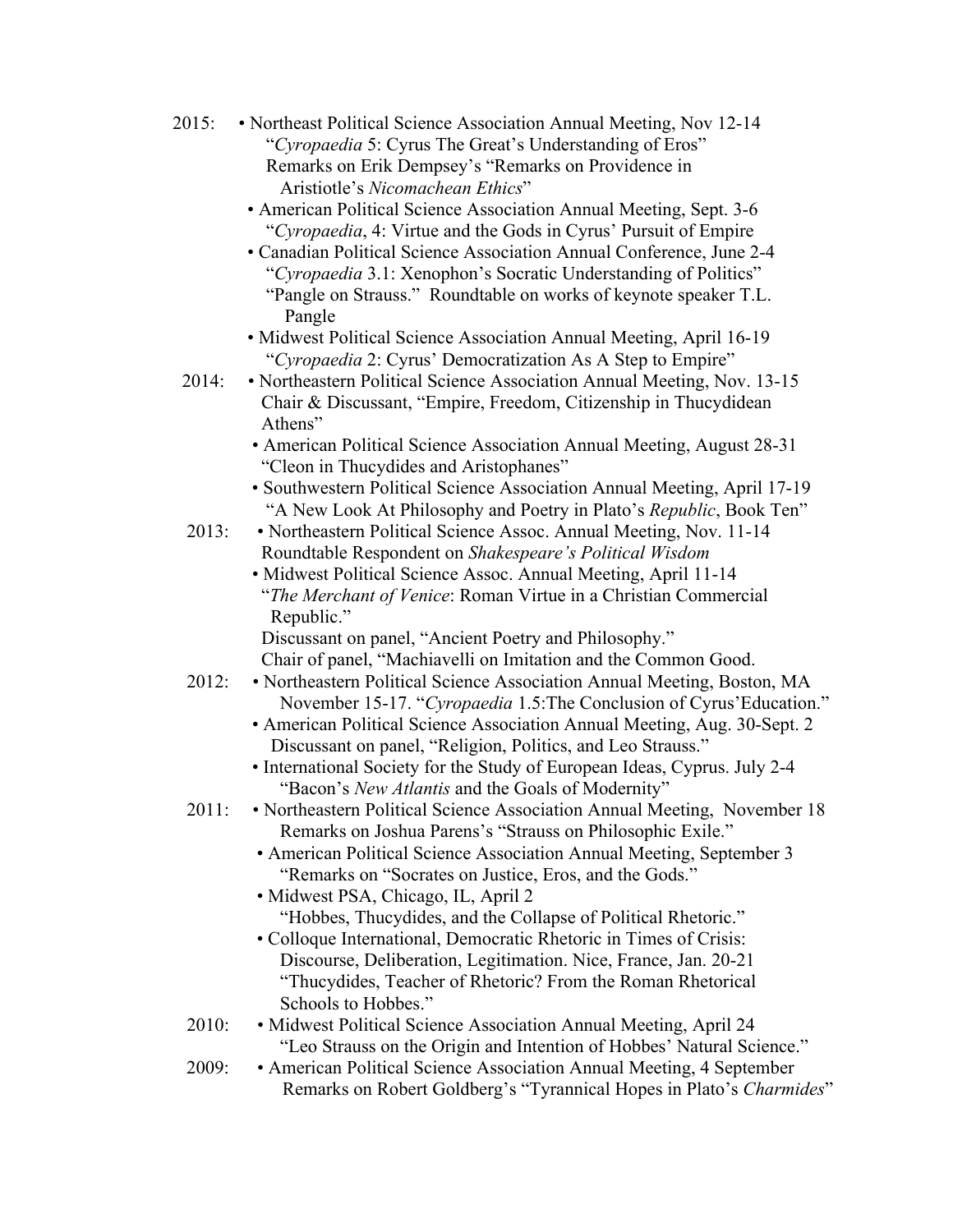| 2015: | • Northeast Political Science Association Annual Meeting, Nov 12-14<br>"Cyropaedia 5: Cyrus The Great's Understanding of Eros"<br>Remarks on Erik Dempsey's "Remarks on Providence in<br>Aristiotle's Nicomachean Ethics" |
|-------|---------------------------------------------------------------------------------------------------------------------------------------------------------------------------------------------------------------------------|
|       | • American Political Science Association Annual Meeting, Sept. 3-6<br>"Cyropaedia, 4: Virtue and the Gods in Cyrus' Pursuit of Empire                                                                                     |
|       | • Canadian Political Science Association Annual Conference, June 2-4<br>"Cyropaedia 3.1: Xenophon's Socratic Understanding of Politics"<br>"Pangle on Strauss." Roundtable on works of keynote speaker T.L.<br>Pangle     |
|       | • Midwest Political Science Association Annual Meeting, April 16-19<br>"Cyropaedia 2: Cyrus' Democratization As A Step to Empire"                                                                                         |
| 2014: | • Northeastern Political Science Association Annual Meeting, Nov. 13-15<br>Chair & Discussant, "Empire, Freedom, Citizenship in Thucydidean<br>Athens"                                                                    |
|       | • American Political Science Association Annual Meeting, August 28-31<br>"Cleon in Thucydides and Aristophanes"                                                                                                           |
|       | • Southwestern Political Science Association Annual Meeting, April 17-19<br>"A New Look At Philosophy and Poetry in Plato's Republic, Book Ten"                                                                           |
| 2013: | • Northeastern Political Science Assoc. Annual Meeting, Nov. 11-14                                                                                                                                                        |
|       | Roundtable Respondent on Shakespeare's Political Wisdom<br>· Midwest Political Science Assoc. Annual Meeting, April 11-14                                                                                                 |
|       | "The Merchant of Venice: Roman Virtue in a Christian Commercial<br>Republic."                                                                                                                                             |
|       | Discussant on panel, "Ancient Poetry and Philosophy."                                                                                                                                                                     |
|       | Chair of panel, "Machiavelli on Imitation and the Common Good.                                                                                                                                                            |
| 2012: | • Northeastern Political Science Association Annual Meeting, Boston, MA<br>November 15-17. "Cyropaedia 1.5: The Conclusion of Cyrus' Education."                                                                          |
|       | • American Political Science Association Annual Meeting, Aug. 30-Sept. 2<br>Discussant on panel, "Religion, Politics, and Leo Strauss."                                                                                   |
|       | • International Society for the Study of European Ideas, Cyprus. July 2-4<br>"Bacon's New Atlantis and the Goals of Modernity"                                                                                            |
| 2011: | • Northeastern Political Science Association Annual Meeting, November 18<br>Remarks on Joshua Parens's "Strauss on Philosophic Exile."                                                                                    |
|       | • American Political Science Association Annual Meeting, September 3<br>"Remarks on "Socrates on Justice, Eros, and the Gods."                                                                                            |
|       | · Midwest PSA, Chicago, IL, April 2                                                                                                                                                                                       |
|       | "Hobbes, Thucydides, and the Collapse of Political Rhetoric."                                                                                                                                                             |
|       | • Colloque International, Democratic Rhetoric in Times of Crisis:<br>Discourse, Deliberation, Legitimation. Nice, France, Jan. 20-21<br>"Thucydides, Teacher of Rhetoric? From the Roman Rhetorical                       |
|       | Schools to Hobbes."                                                                                                                                                                                                       |
| 2010: | • Midwest Political Science Association Annual Meeting, April 24<br>"Leo Strauss on the Origin and Intention of Hobbes' Natural Science."                                                                                 |
| 2009: | • American Political Science Association Annual Meeting, 4 September                                                                                                                                                      |

Remarks on Robert Goldberg's "Tyrannical Hopes in Plato's *Charmides*"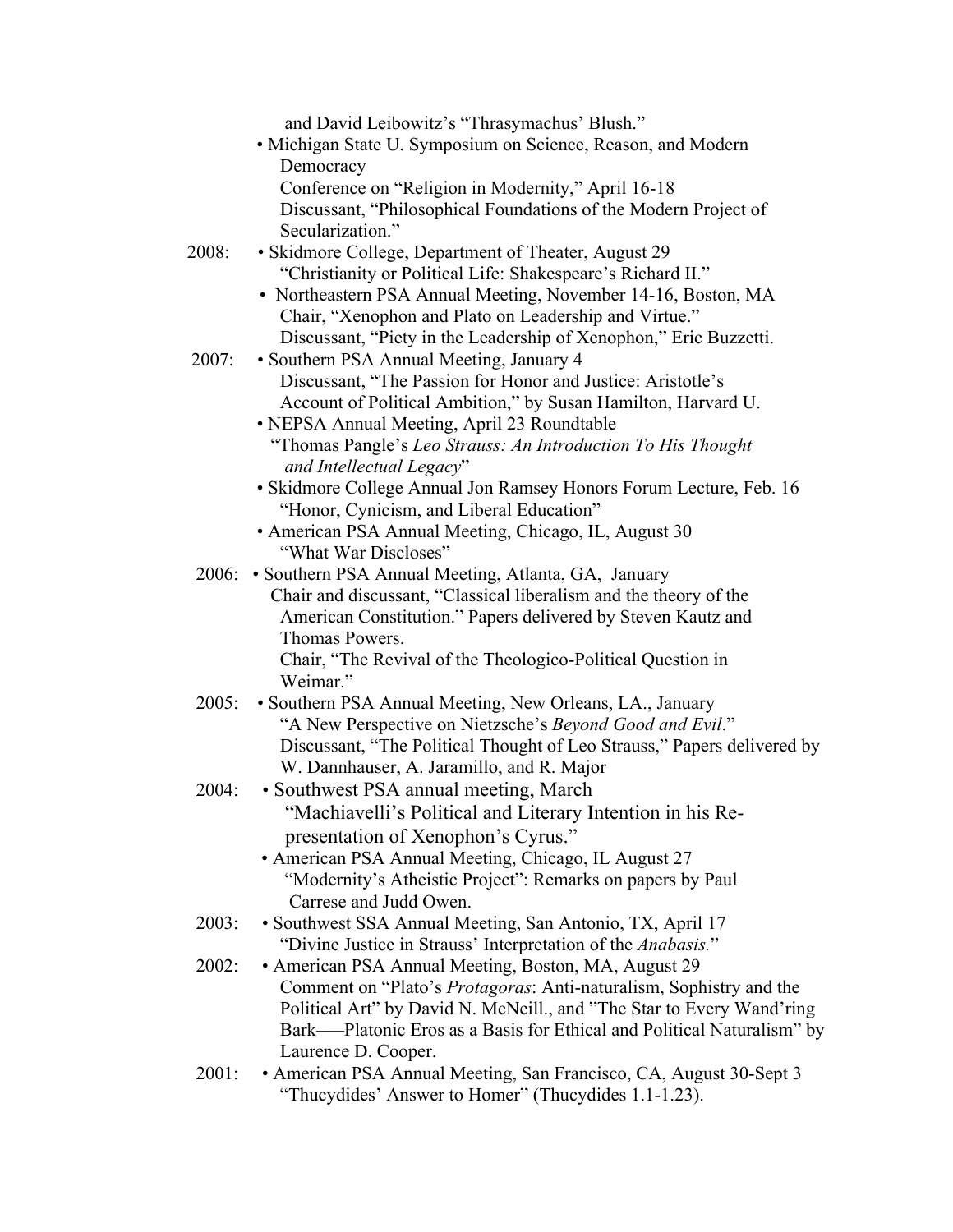|       | and David Leibowitz's "Thrasymachus' Blush."                               |
|-------|----------------------------------------------------------------------------|
|       | • Michigan State U. Symposium on Science, Reason, and Modern               |
|       | Democracy                                                                  |
|       | Conference on "Religion in Modernity," April 16-18                         |
|       | Discussant, "Philosophical Foundations of the Modern Project of            |
|       | Secularization."                                                           |
| 2008: | • Skidmore College, Department of Theater, August 29                       |
|       | "Christianity or Political Life: Shakespeare's Richard II."                |
|       | • Northeastern PSA Annual Meeting, November 14-16, Boston, MA              |
|       | Chair, "Xenophon and Plato on Leadership and Virtue."                      |
|       | Discussant, "Piety in the Leadership of Xenophon," Eric Buzzetti.          |
| 2007: | • Southern PSA Annual Meeting, January 4                                   |
|       | Discussant, "The Passion for Honor and Justice: Aristotle's                |
|       | Account of Political Ambition," by Susan Hamilton, Harvard U.              |
|       | • NEPSA Annual Meeting, April 23 Roundtable                                |
|       | "Thomas Pangle's Leo Strauss: An Introduction To His Thought               |
|       | and Intellectual Legacy"                                                   |
|       | · Skidmore College Annual Jon Ramsey Honors Forum Lecture, Feb. 16         |
|       | "Honor, Cynicism, and Liberal Education"                                   |
|       | • American PSA Annual Meeting, Chicago, IL, August 30                      |
|       | "What War Discloses"                                                       |
|       | 2006: • Southern PSA Annual Meeting, Atlanta, GA, January                  |
|       | Chair and discussant, "Classical liberalism and the theory of the          |
|       | American Constitution." Papers delivered by Steven Kautz and               |
|       | Thomas Powers.                                                             |
|       | Chair, "The Revival of the Theologico-Political Question in                |
|       | Weimar."                                                                   |
| 2005: | • Southern PSA Annual Meeting, New Orleans, LA., January                   |
|       | "A New Perspective on Nietzsche's Beyond Good and Evil."                   |
|       | Discussant, "The Political Thought of Leo Strauss," Papers delivered by    |
|       | W. Dannhauser, A. Jaramillo, and R. Major                                  |
| 2004: | • Southwest PSA annual meeting, March                                      |
|       | "Machiavelli's Political and Literary Intention in his Re-                 |
|       | presentation of Xenophon's Cyrus."                                         |
|       | • American PSA Annual Meeting, Chicago, IL August 27                       |
|       | "Modernity's Atheistic Project": Remarks on papers by Paul                 |
|       | Carrese and Judd Owen.                                                     |
| 2003: | • Southwest SSA Annual Meeting, San Antonio, TX, April 17                  |
|       | "Divine Justice in Strauss' Interpretation of the Anabasis."               |
| 2002: | • American PSA Annual Meeting, Boston, MA, August 29                       |
|       | Comment on "Plato's <i>Protagoras</i> : Anti-naturalism, Sophistry and the |
|       | Political Art" by David N. McNeill., and "The Star to Every Wand'ring      |
|       | Bark—Platonic Eros as a Basis for Ethical and Political Naturalism" by     |
|       | Laurence D. Cooper.                                                        |
| 2001: | • American PSA Annual Meeting, San Francisco, CA, August 30-Sept 3         |
|       | "Thucydides' Answer to Homer" (Thucydides 1.1-1.23).                       |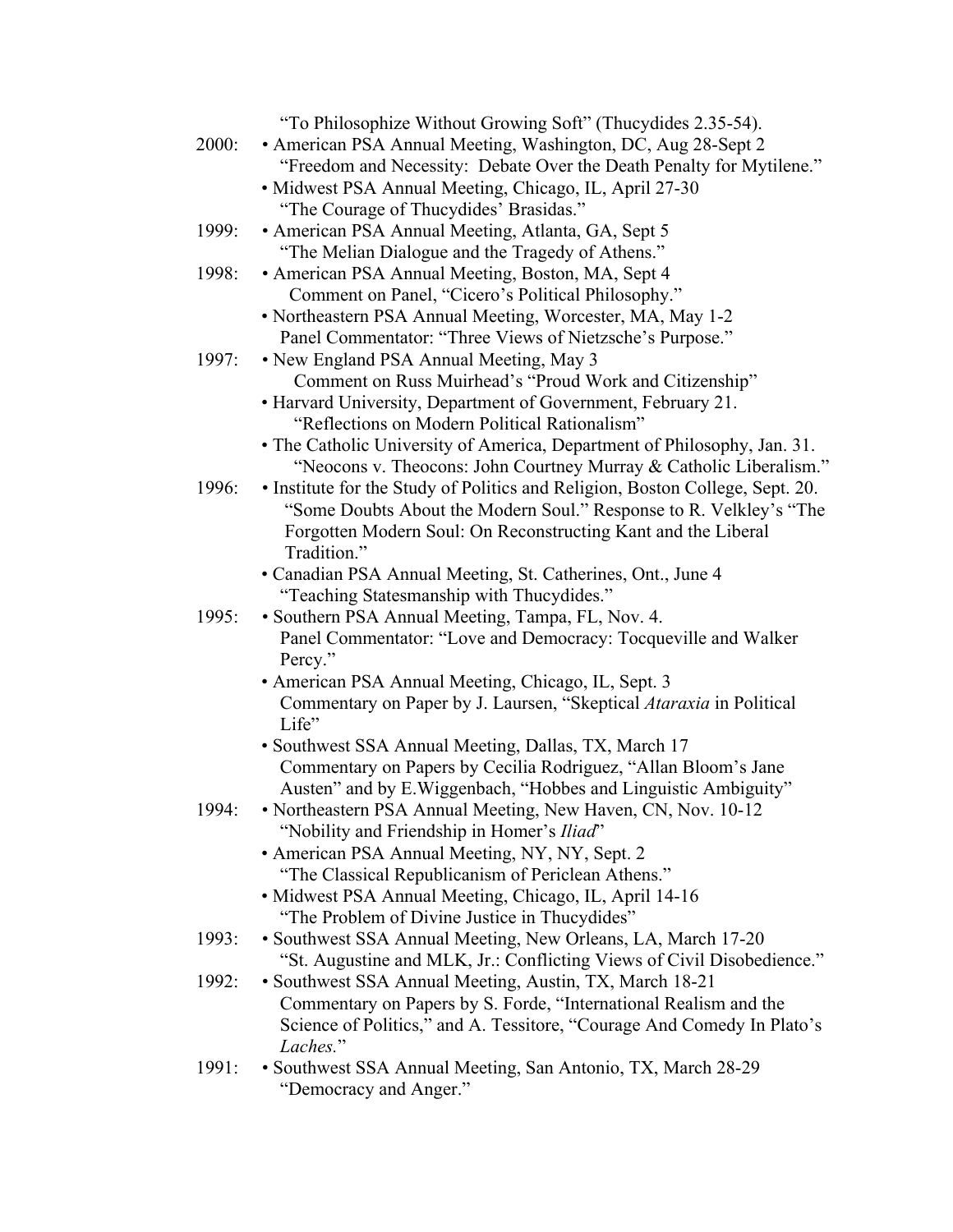| "To Philosophize Without Growing Soft" (Thucydides 2.35-54).                  |
|-------------------------------------------------------------------------------|
| • American PSA Annual Meeting, Washington, DC, Aug 28-Sept 2                  |
| "Freedom and Necessity: Debate Over the Death Penalty for Mytilene."          |
| · Midwest PSA Annual Meeting, Chicago, IL, April 27-30                        |
| "The Courage of Thucydides' Brasidas."                                        |
| • American PSA Annual Meeting, Atlanta, GA, Sept 5                            |
| "The Melian Dialogue and the Tragedy of Athens."                              |
| • American PSA Annual Meeting, Boston, MA, Sept 4                             |
| Comment on Panel, "Cicero's Political Philosophy."                            |
| • Northeastern PSA Annual Meeting, Worcester, MA, May 1-2                     |
| Panel Commentator: "Three Views of Nietzsche's Purpose."                      |
|                                                                               |
| • New England PSA Annual Meeting, May 3                                       |
| Comment on Russ Muirhead's "Proud Work and Citizenship"                       |
| • Harvard University, Department of Government, February 21.                  |
| "Reflections on Modern Political Rationalism"                                 |
| • The Catholic University of America, Department of Philosophy, Jan. 31.      |
| "Neocons v. Theocons: John Courtney Murray & Catholic Liberalism."            |
| • Institute for the Study of Politics and Religion, Boston College, Sept. 20. |
| "Some Doubts About the Modern Soul." Response to R. Velkley's "The            |
| Forgotten Modern Soul: On Reconstructing Kant and the Liberal                 |
| Tradition."                                                                   |
| • Canadian PSA Annual Meeting, St. Catherines, Ont., June 4                   |
| "Teaching Statesmanship with Thucydides."                                     |
| · Southern PSA Annual Meeting, Tampa, FL, Nov. 4.                             |
| Panel Commentator: "Love and Democracy: Tocqueville and Walker                |
| Percy."                                                                       |
| • American PSA Annual Meeting, Chicago, IL, Sept. 3                           |
| Commentary on Paper by J. Laursen, "Skeptical Ataraxia in Political           |
| Life"                                                                         |
| · Southwest SSA Annual Meeting, Dallas, TX, March 17                          |
| Commentary on Papers by Cecilia Rodriguez, "Allan Bloom's Jane                |
| Austen" and by E. Wiggenbach, "Hobbes and Linguistic Ambiguity"               |
| • Northeastern PSA Annual Meeting, New Haven, CN, Nov. 10-12                  |
| "Nobility and Friendship in Homer's Iliad"                                    |
| • American PSA Annual Meeting, NY, NY, Sept. 2                                |
| "The Classical Republicanism of Periclean Athens."                            |
| • Midwest PSA Annual Meeting, Chicago, IL, April 14-16                        |
| "The Problem of Divine Justice in Thucydides"                                 |
| · Southwest SSA Annual Meeting, New Orleans, LA, March 17-20                  |
| "St. Augustine and MLK, Jr.: Conflicting Views of Civil Disobedience."        |
| • Southwest SSA Annual Meeting, Austin, TX, March 18-21                       |
| Commentary on Papers by S. Forde, "International Realism and the              |
| Science of Politics," and A. Tessitore, "Courage And Comedy In Plato's        |
| Laches."                                                                      |
| · Southwest SSA Annual Meeting, San Antonio, TX, March 28-29                  |
| "Democracy and Anger."                                                        |
| 1994:                                                                         |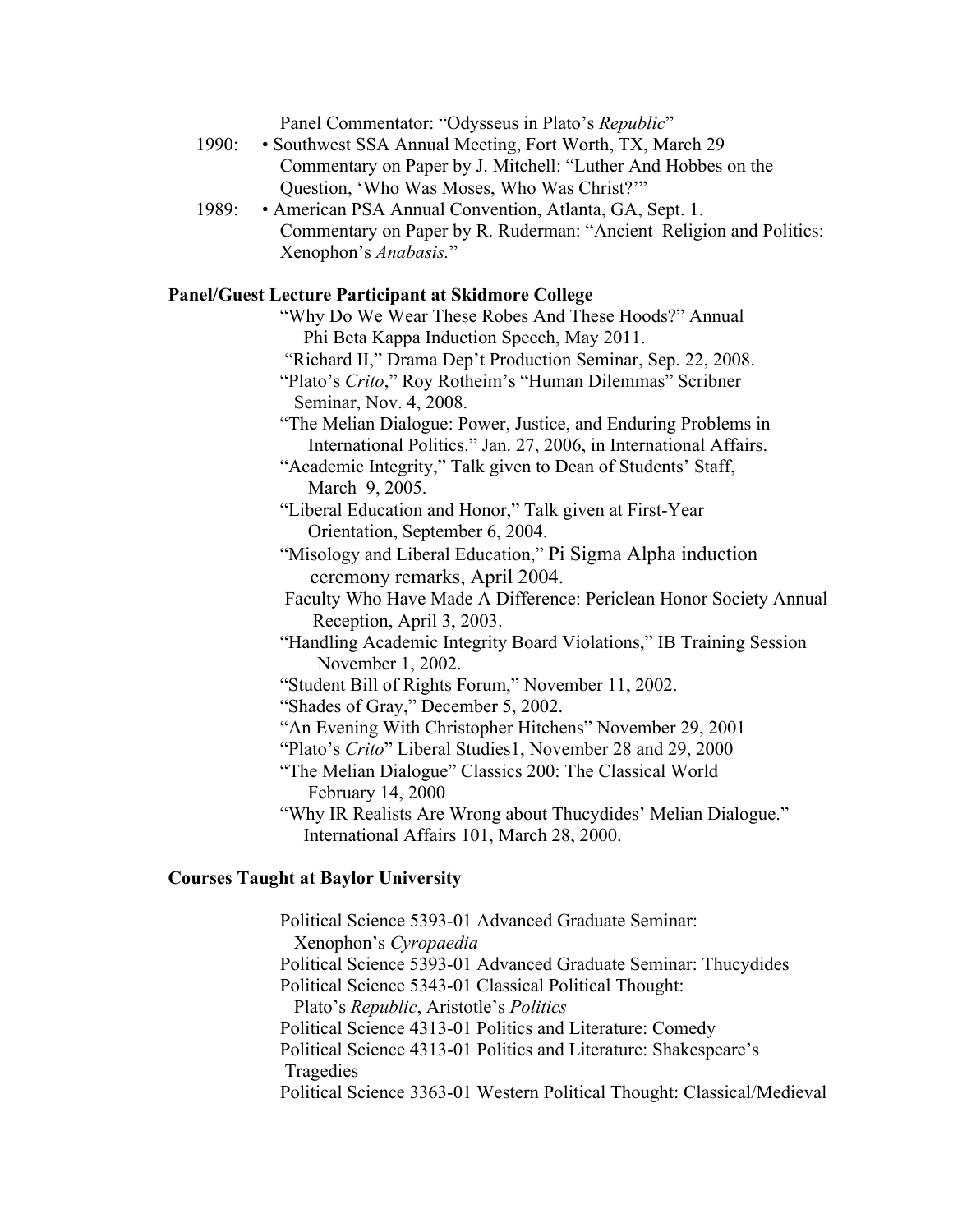Panel Commentator: "Odysseus in Plato's *Republic*"

- 1990: Southwest SSA Annual Meeting, Fort Worth, TX, March 29 Commentary on Paper by J. Mitchell: "Luther And Hobbes on the Question, 'Who Was Moses, Who Was Christ?'"
- 1989: American PSA Annual Convention, Atlanta, GA, Sept. 1. Commentary on Paper by R. Ruderman: "Ancient Religion and Politics: Xenophon's *Anabasis.*"

# **Panel/Guest Lecture Participant at Skidmore College**

- "Why Do We Wear These Robes And These Hoods?" Annual Phi Beta Kappa Induction Speech, May 2011.
- "Richard II," Drama Dep't Production Seminar, Sep. 22, 2008.
- "Plato's *Crito*," Roy Rotheim's "Human Dilemmas" Scribner Seminar, Nov. 4, 2008.
- "The Melian Dialogue: Power, Justice, and Enduring Problems in International Politics." Jan. 27, 2006, in International Affairs.
- "Academic Integrity," Talk given to Dean of Students' Staff, March 9, 2005.
- "Liberal Education and Honor," Talk given at First-Year Orientation, September 6, 2004.
- "Misology and Liberal Education," Pi Sigma Alpha induction ceremony remarks, April 2004.
- Faculty Who Have Made A Difference: Periclean Honor Society Annual Reception, April 3, 2003.
- "Handling Academic Integrity Board Violations," IB Training Session November 1, 2002.
- "Student Bill of Rights Forum," November 11, 2002.
- "Shades of Gray," December 5, 2002.
- "An Evening With Christopher Hitchens" November 29, 2001
- "Plato's *Crito*" Liberal Studies1, November 28 and 29, 2000
- "The Melian Dialogue" Classics 200: The Classical World February 14, 2000
- "Why IR Realists Are Wrong about Thucydides' Melian Dialogue." International Affairs 101, March 28, 2000.

### **Courses Taught at Baylor University**

Political Science 5393-01 Advanced Graduate Seminar: Xenophon's *Cyropaedia*  Political Science 5393-01 Advanced Graduate Seminar: Thucydides Political Science 5343-01 Classical Political Thought: Plato's *Republic*, Aristotle's *Politics*  Political Science 4313-01 Politics and Literature: Comedy Political Science 4313-01 Politics and Literature: Shakespeare's Tragedies Political Science 3363-01 Western Political Thought: Classical/Medieval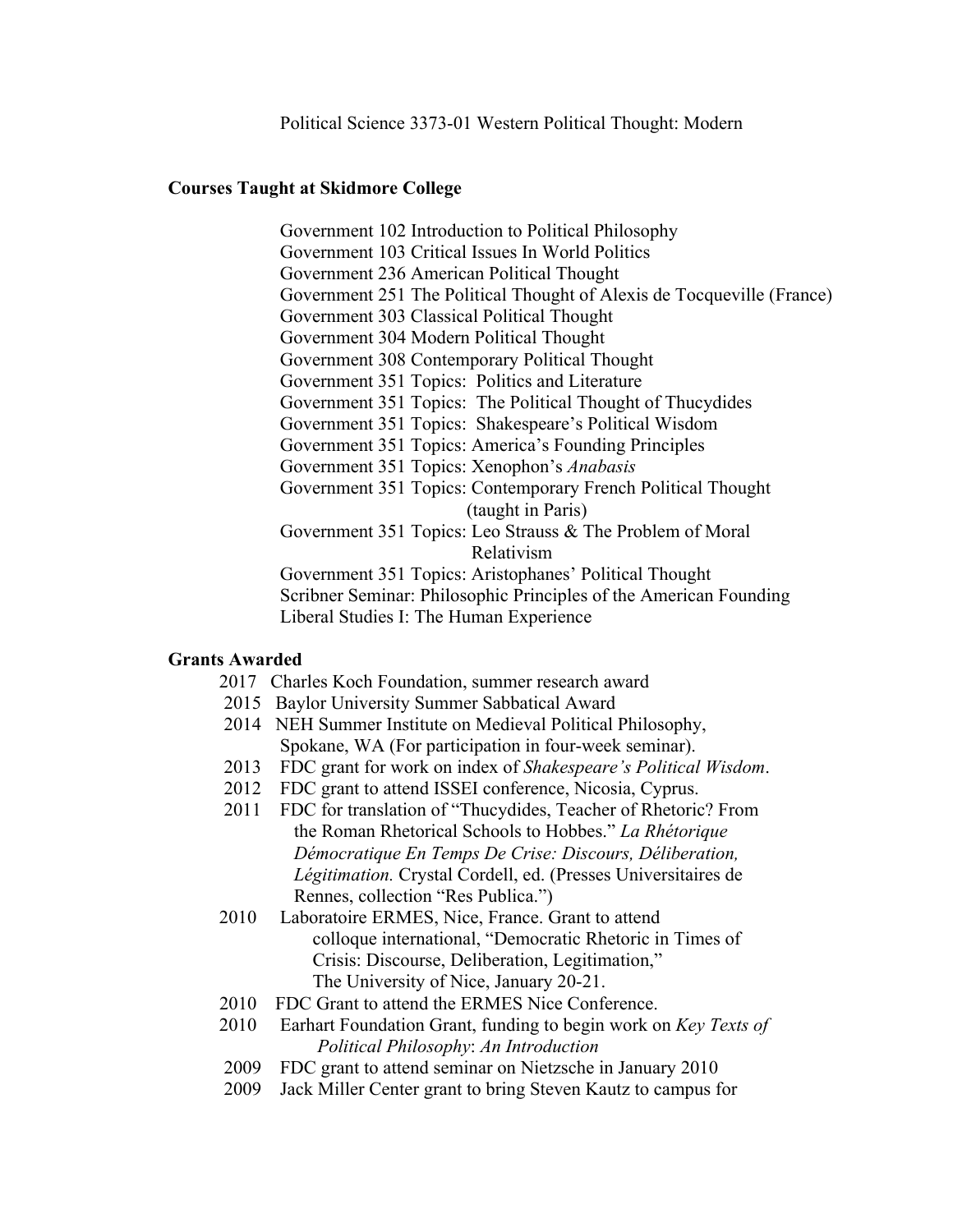Political Science 3373-01 Western Political Thought: Modern

### **Courses Taught at Skidmore College**

 Government 102 Introduction to Political Philosophy Government 103 Critical Issues In World Politics Government 236 American Political Thought Government 251 The Political Thought of Alexis de Tocqueville (France) Government 303 Classical Political Thought Government 304 Modern Political Thought Government 308 Contemporary Political Thought Government 351 Topics: Politics and Literature Government 351 Topics: The Political Thought of Thucydides Government 351 Topics: Shakespeare's Political Wisdom Government 351 Topics: America's Founding Principles Government 351 Topics: Xenophon's *Anabasis*  Government 351 Topics: Contemporary French Political Thought (taught in Paris) Government 351 Topics: Leo Strauss & The Problem of Moral Relativism Government 351 Topics: Aristophanes' Political Thought Scribner Seminar: Philosophic Principles of the American Founding Liberal Studies I: The Human Experience

### **Grants Awarded**

- 2017 Charles Koch Foundation, summer research award
- 2015 Baylor University Summer Sabbatical Award
- 2014 NEH Summer Institute on Medieval Political Philosophy, Spokane, WA (For participation in four-week seminar).
- 2013 FDC grant for work on index of *Shakespeare's Political Wisdom*.
- 2012 FDC grant to attend ISSEI conference, Nicosia, Cyprus.
- 2011 FDC for translation of "Thucydides, Teacher of Rhetoric? From the Roman Rhetorical Schools to Hobbes." *La Rhétorique Démocratique En Temps De Crise: Discours, Déliberation, Légitimation.* Crystal Cordell, ed. (Presses Universitaires de Rennes, collection "Res Publica.")
- 2010 Laboratoire ERMES, Nice, France. Grant to attend colloque international, "Democratic Rhetoric in Times of Crisis: Discourse, Deliberation, Legitimation," The University of Nice, January 20-21.
- 2010 FDC Grant to attend the ERMES Nice Conference.
- 2010 Earhart Foundation Grant, funding to begin work on *Key Texts of Political Philosophy*: *An Introduction*
- 2009 FDC grant to attend seminar on Nietzsche in January 2010
- 2009 Jack Miller Center grant to bring Steven Kautz to campus for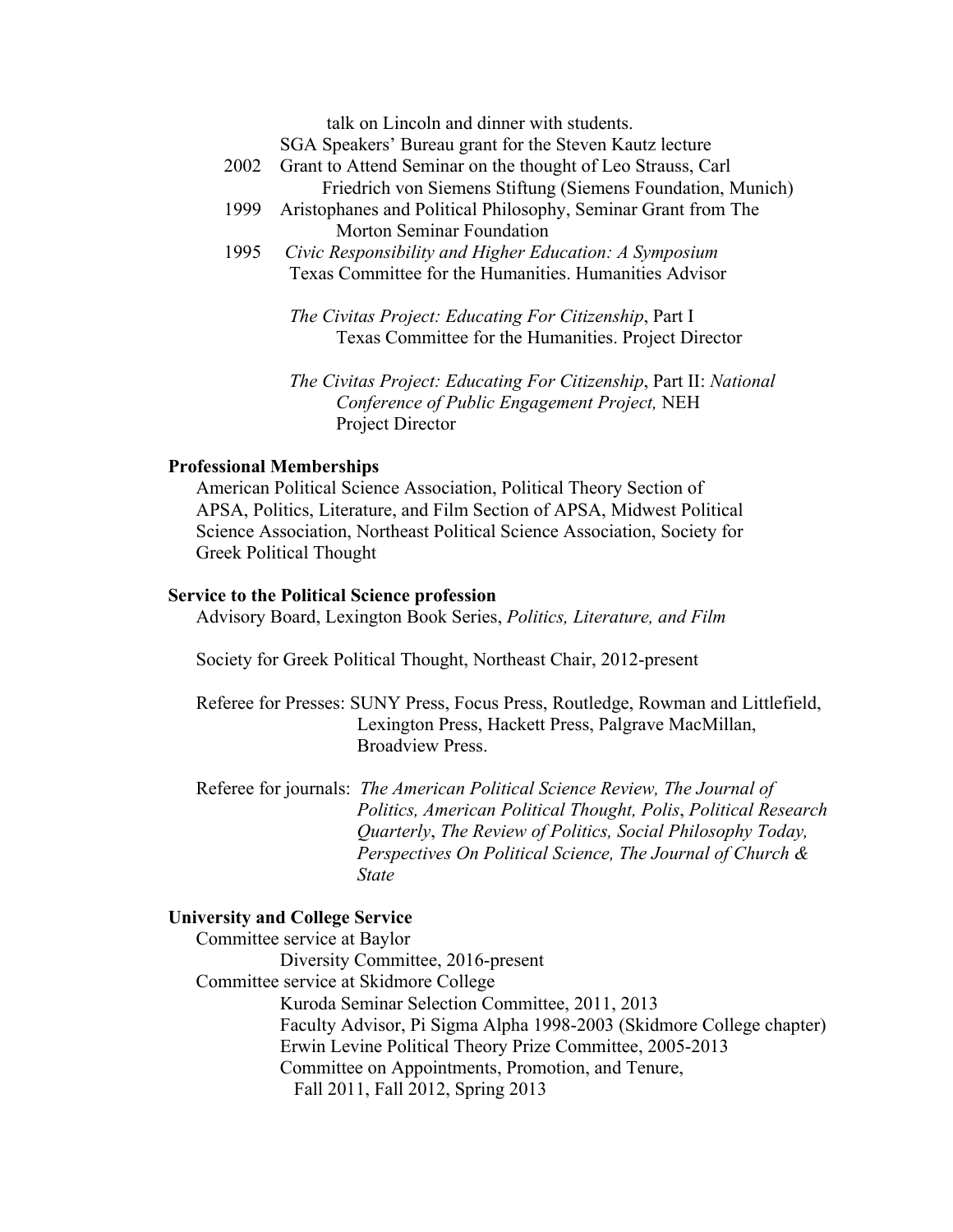talk on Lincoln and dinner with students.

SGA Speakers' Bureau grant for the Steven Kautz lecture

- 2002 Grant to Attend Seminar on the thought of Leo Strauss, Carl Friedrich von Siemens Stiftung (Siemens Foundation, Munich)
- 1999 Aristophanes and Political Philosophy, Seminar Grant from The Morton Seminar Foundation
- 1995 *Civic Responsibility and Higher Education: A Symposium* Texas Committee for the Humanities. Humanities Advisor

 *The Civitas Project: Educating For Citizenship*, Part I Texas Committee for the Humanities. Project Director

 *The Civitas Project: Educating For Citizenship*, Part II: *National Conference of Public Engagement Project,* NEH Project Director

### **Professional Memberships**

American Political Science Association, Political Theory Section of APSA, Politics, Literature, and Film Section of APSA, Midwest Political Science Association, Northeast Political Science Association, Society for Greek Political Thought

#### **Service to the Political Science profession**

Advisory Board, Lexington Book Series, *Politics, Literature, and Film* 

Society for Greek Political Thought, Northeast Chair, 2012-present

 Referee for Presses: SUNY Press, Focus Press, Routledge, Rowman and Littlefield, Lexington Press, Hackett Press, Palgrave MacMillan, Broadview Press.

 Referee for journals: *The American Political Science Review, The Journal of Politics, American Political Thought, Polis*, *Political Research Quarterly*, *The Review of Politics, Social Philosophy Today, Perspectives On Political Science, The Journal of Church & State* 

## **University and College Service**

 Committee service at Baylor Diversity Committee, 2016-present Committee service at Skidmore College Kuroda Seminar Selection Committee, 2011, 2013 Faculty Advisor, Pi Sigma Alpha 1998-2003 (Skidmore College chapter) Erwin Levine Political Theory Prize Committee, 2005-2013 Committee on Appointments, Promotion, and Tenure, Fall 2011, Fall 2012, Spring 2013